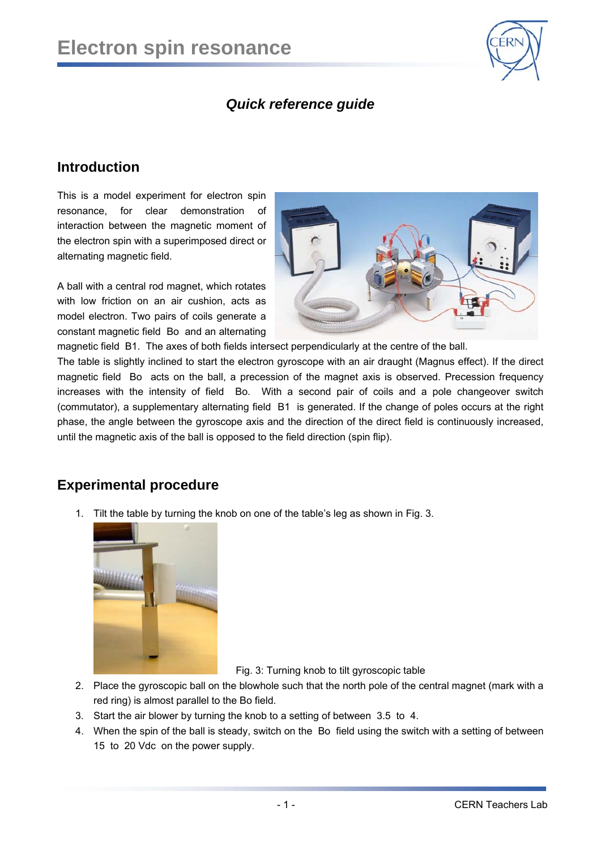

# *Quick reference guide*

# **Introduction**

This is a model experiment for electron spin resonance, for clear demonstration of interaction between the magnetic moment of the electron spin with a superimposed direct or alternating magnetic field.

A ball with a central rod magnet, which rotates with low friction on an air cushion, acts as model electron. Two pairs of coils generate a constant magnetic field Bo and an alternating



magnetic field B1. The axes of both fields intersect perpendicularly at the centre of the ball.

The table is slightly inclined to start the electron gyroscope with an air draught (Magnus effect). If the direct magnetic field Bo acts on the ball, a precession of the magnet axis is observed. Precession frequency increases with the intensity of field Bo. With a second pair of coils and a pole changeover switch (commutator), a supplementary alternating field B1 is generated. If the change of poles occurs at the right phase, the angle between the gyroscope axis and the direction of the direct field is continuously increased, until the magnetic axis of the ball is opposed to the field direction (spin flip).

## **Experimental procedure**

1. Tilt the table by turning the knob on one of the table's leg as shown in Fig. 3.



Fig. 3: Turning knob to tilt gyroscopic table

- 2. Place the gyroscopic ball on the blowhole such that the north pole of the central magnet (mark with a red ring) is almost parallel to the Bo field.
- 3. Start the air blower by turning the knob to a setting of between 3.5 to 4.
- 4. When the spin of the ball is steady, switch on the Bo field using the switch with a setting of between 15 to 20 Vdc on the power supply.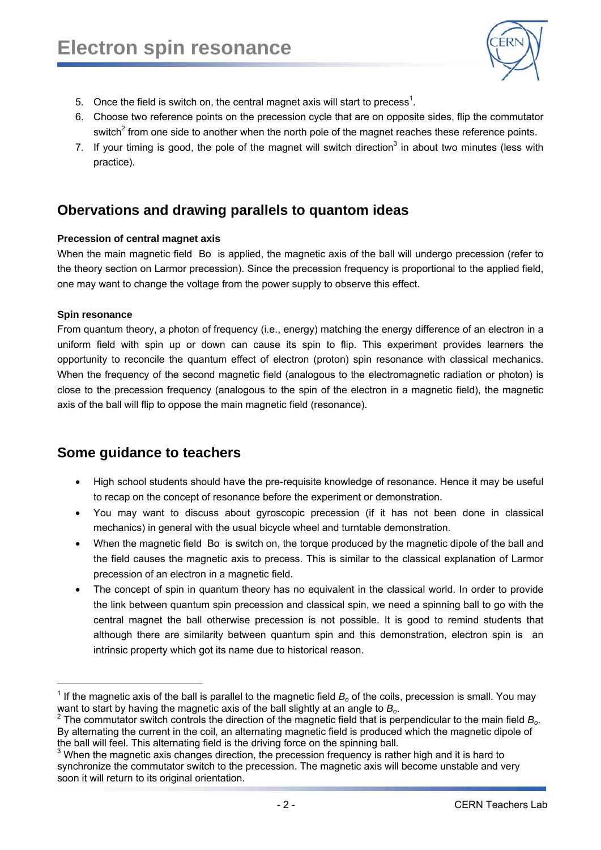

- 5. Once the field is switch on, the central magnet axis will start to precess<sup>1</sup>.
- 6. Choose two reference points on the precession cycle that are on opposite sides, flip the commutator switch<sup>2</sup> from one side to another when the north pole of the magnet reaches these reference points.
- 7. If your timing is good, the pole of the magnet will switch direction<sup>3</sup> in about two minutes (less with practice).

# **Obervations and drawing parallels to quantom ideas**

#### **Precession of central magnet axis**

When the main magnetic field Bo is applied, the magnetic axis of the ball will undergo precession (refer to the theory section on Larmor precession). Since the precession frequency is proportional to the applied field, one may want to change the voltage from the power supply to observe this effect.

#### **Spin resonance**

l

From quantum theory, a photon of frequency (i.e., energy) matching the energy difference of an electron in a uniform field with spin up or down can cause its spin to flip. This experiment provides learners the opportunity to reconcile the quantum effect of electron (proton) spin resonance with classical mechanics. When the frequency of the second magnetic field (analogous to the electromagnetic radiation or photon) is close to the precession frequency (analogous to the spin of the electron in a magnetic field), the magnetic axis of the ball will flip to oppose the main magnetic field (resonance).

## **Some guidance to teachers**

- High school students should have the pre-requisite knowledge of resonance. Hence it may be useful to recap on the concept of resonance before the experiment or demonstration.
- You may want to discuss about gyroscopic precession (if it has not been done in classical mechanics) in general with the usual bicycle wheel and turntable demonstration.
- When the magnetic field Bo is switch on, the torque produced by the magnetic dipole of the ball and the field causes the magnetic axis to precess. This is similar to the classical explanation of Larmor precession of an electron in a magnetic field.
- The concept of spin in quantum theory has no equivalent in the classical world. In order to provide the link between quantum spin precession and classical spin, we need a spinning ball to go with the central magnet the ball otherwise precession is not possible. It is good to remind students that although there are similarity between quantum spin and this demonstration, electron spin is an intrinsic property which got its name due to historical reason.

 $1$  If the magnetic axis of the ball is parallel to the magnetic field  $B<sub>o</sub>$  of the coils, precession is small. You may

want to start by having the magnetic axis of the ball slightly at an angle to *B<sub>o</sub>.*<br><sup>2</sup> The commutator switch controls the direction of the magnetic field that is perpendicular to the main field *B<sub>o</sub>.* By alternating the current in the coil, an alternating magnetic field is produced which the magnetic dipole of the ball will feel. This alternating field is the driving force on the spinning ball.

When the magnetic axis changes direction, the precession frequency is rather high and it is hard to synchronize the commutator switch to the precession. The magnetic axis will become unstable and very soon it will return to its original orientation.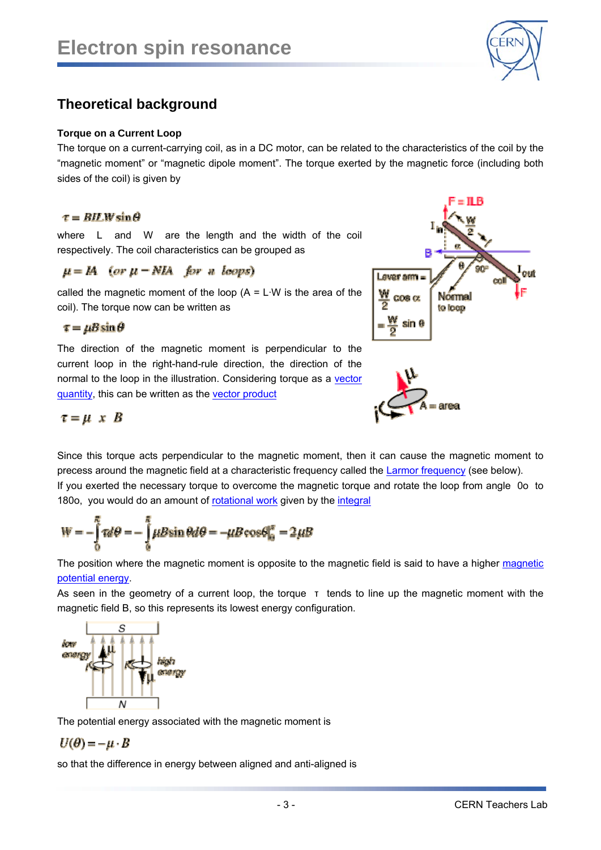

# **Theoretical background**

#### **Torque on a Current Loop**

The torque on a current-carrying coil, as in a DC motor, can be related to the characteristics of the coil by the "magnetic moment" or "magnetic dipole moment". The torque exerted by the magnetic force (including both sides of the coil) is given by

### $\tau = BH.W \sin \theta$

where L and W are the length and the width of the coil respectively. The coil characteristics can be grouped as

## $\mu = IA$  (or  $\mu = NIA$  for a leops)

called the magnetic moment of the loop  $(A = L \cdot W)$  is the area of the coil). The torque now can be written as

 $\tau = \mu B \sin \theta$ 

The direction of the magnetic moment is perpendicular to the current loop in the right-hand-rule direction, the direction of the normal to the loop in the illustration. Considering torque as a vector quantity, this can be written as the vector product





 $\tau = \mu \times B$ 

Since this torque acts perpendicular to the magnetic moment, then it can cause the magnetic moment to precess around the magnetic field at a characteristic frequency called the Larmor frequency (see below). If you exerted the necessary torque to overcome the magnetic torque and rotate the loop from angle 0o to 180o, you would do an amount of rotational work given by the integral

$$
W = -\int_{0}^{R} \tau d\theta = -\int_{0}^{R} \mu B \sin \theta d\theta = -\mu B \cos \theta \Big|_{0}^{R} = 2\mu B
$$

The position where the magnetic moment is opposite to the magnetic field is said to have a higher magnetic potential energy.

As seen in the geometry of a current loop, the torque τ tends to line up the magnetic moment with the magnetic field B, so this represents its lowest energy configuration.



The potential energy associated with the magnetic moment is

$$
U(\theta) = -\mu \cdot B
$$

so that the difference in energy between aligned and anti-aligned is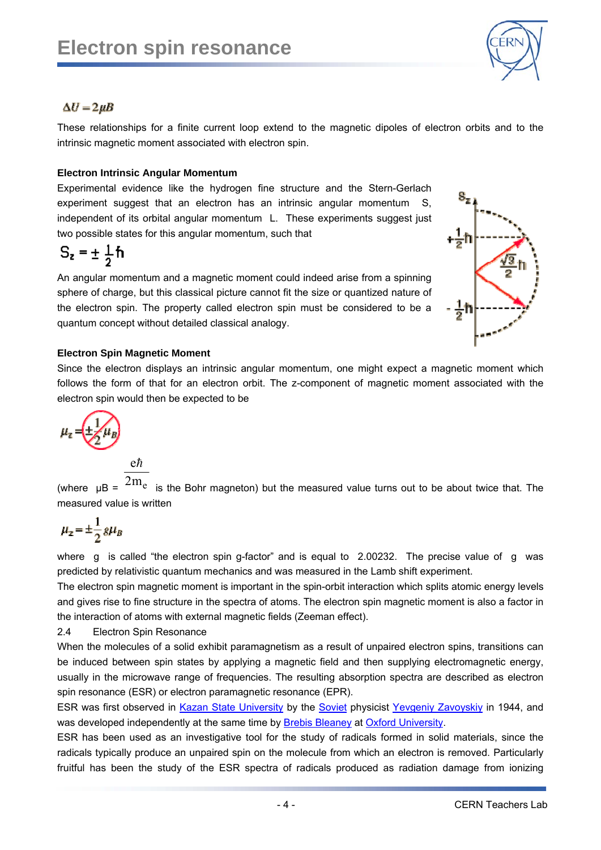

## $\Delta U = 2 \mu B$

These relationships for a finite current loop extend to the magnetic dipoles of electron orbits and to the intrinsic magnetic moment associated with electron spin.

#### **Electron Intrinsic Angular Momentum**

Experimental evidence like the hydrogen fine structure and the Stern-Gerlach experiment suggest that an electron has an intrinsic angular momentum S, independent of its orbital angular momentum L. These experiments suggest just two possible states for this angular momentum, such that

$$
S_z = \pm \frac{1}{2} \hbar
$$

An angular momentum and a magnetic moment could indeed arise from a spinning sphere of charge, but this classical picture cannot fit the size or quantized nature of the electron spin. The property called electron spin must be considered to be a quantum concept without detailed classical analogy.



### **Electron Spin Magnetic Moment**

Since the electron displays an intrinsic angular momentum, one might expect a magnetic moment which follows the form of that for an electron orbit. The z-component of magnetic moment associated with the electron spin would then be expected to be

$$
\mu_{z} = \underbrace{\left(\frac{1}{2}\right)}_{\mathcal{L}} \mu_{B}
$$

$$
\frac{\mathrm{e}\hbar}{}
$$

(where  $\mu$ B =  $\rm ^{2m}$ e is the Bohr magneton) but the measured value turns out to be about twice that. The measured value is written

$$
\mu_z = \pm \frac{1}{2} g \mu_B
$$

where g is called "the electron spin g-factor" and is equal to 2.00232. The precise value of g was predicted by relativistic quantum mechanics and was measured in the Lamb shift experiment.

The electron spin magnetic moment is important in the spin-orbit interaction which splits atomic energy levels and gives rise to fine structure in the spectra of atoms. The electron spin magnetic moment is also a factor in the interaction of atoms with external magnetic fields (Zeeman effect).

2.4 Electron Spin Resonance

When the molecules of a solid exhibit paramagnetism as a result of unpaired electron spins, transitions can be induced between spin states by applying a magnetic field and then supplying electromagnetic energy, usually in the microwave range of frequencies. The resulting absorption spectra are described as electron spin resonance (ESR) or electron paramagnetic resonance (EPR).

ESR was first observed in Kazan State University by the Soviet physicist Yevgeniy Zavoyskiy in 1944, and was developed independently at the same time by Brebis Bleaney at Oxford University.

ESR has been used as an investigative tool for the study of radicals formed in solid materials, since the radicals typically produce an unpaired spin on the molecule from which an electron is removed. Particularly fruitful has been the study of the ESR spectra of radicals produced as radiation damage from ionizing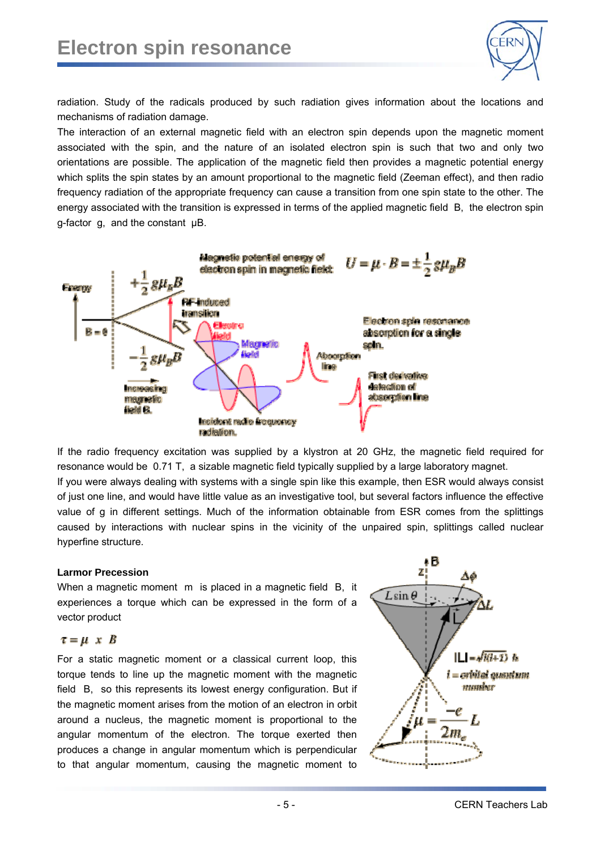

radiation. Study of the radicals produced by such radiation gives information about the locations and mechanisms of radiation damage.

The interaction of an external magnetic field with an electron spin depends upon the magnetic moment associated with the spin, and the nature of an isolated electron spin is such that two and only two orientations are possible. The application of the magnetic field then provides a magnetic potential energy which splits the spin states by an amount proportional to the magnetic field (Zeeman effect), and then radio frequency radiation of the appropriate frequency can cause a transition from one spin state to the other. The energy associated with the transition is expressed in terms of the applied magnetic field B, the electron spin g-factor g, and the constant μB.



If the radio frequency excitation was supplied by a klystron at 20 GHz, the magnetic field required for resonance would be 0.71 T, a sizable magnetic field typically supplied by a large laboratory magnet. If you were always dealing with systems with a single spin like this example, then ESR would always consist of just one line, and would have little value as an investigative tool, but several factors influence the effective value of g in different settings. Much of the information obtainable from ESR comes from the splittings caused by interactions with nuclear spins in the vicinity of the unpaired spin, splittings called nuclear hyperfine structure.

#### **Larmor Precession**

When a magnetic moment m is placed in a magnetic field B, it experiences a torque which can be expressed in the form of a vector product

#### $\tau = \mu \times B$

For a static magnetic moment or a classical current loop, this torque tends to line up the magnetic moment with the magnetic field B, so this represents its lowest energy configuration. But if the magnetic moment arises from the motion of an electron in orbit around a nucleus, the magnetic moment is proportional to the angular momentum of the electron. The torque exerted then produces a change in angular momentum which is perpendicular to that angular momentum, causing the magnetic moment to